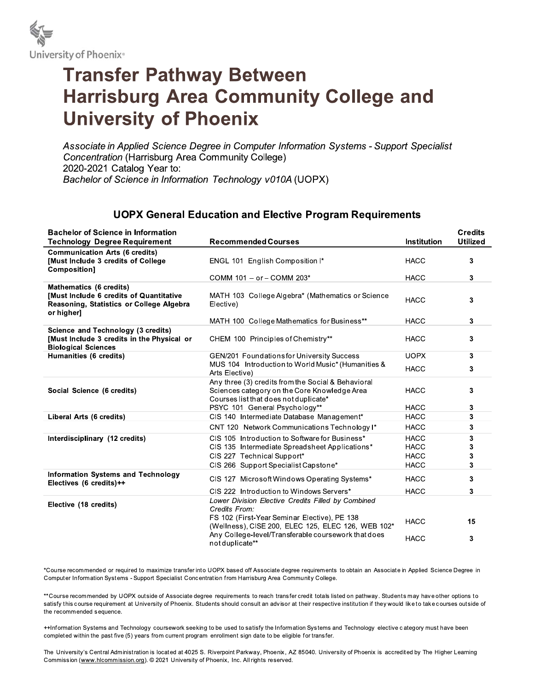

## **Transfer Pathway Between Harrisburg Area Community College and University of Phoenix**

Associate in Applied Science Degree in Computer Information Systems - Support Specialist Concentration (Harrisburg Area Community College) 2020-2021 Catalog Year to: Bachelor of Science in Information Technology v010A (UOPX)

## **UOPX General Education and Elective Program Requirements**

| <b>Bachelor of Science in Information</b>                                                                                    |                                                                                                                                             |                    | <b>Credits</b>  |
|------------------------------------------------------------------------------------------------------------------------------|---------------------------------------------------------------------------------------------------------------------------------------------|--------------------|-----------------|
| <b>Technology Degree Requirement</b>                                                                                         | <b>Recommended Courses</b>                                                                                                                  | <b>Institution</b> | <b>Utilized</b> |
| <b>Communication Arts (6 credits)</b><br>[Must Include 3 credits of College]<br>Composition]                                 | ENGL 101 English Composition I*                                                                                                             | <b>HACC</b>        | 3               |
|                                                                                                                              | COMM 101 - or - COMM 203*                                                                                                                   | <b>HACC</b>        | 3               |
| Mathematics (6 credits)<br>[Must Include 6 credits of Quantitative<br>Reasoning, Statistics or College Algebra<br>or higher] | MATH 103 College Algebra* (Mathematics or Science<br>Elective)                                                                              | <b>HACC</b>        | 3               |
|                                                                                                                              | MATH 100 College Mathematics for Business**                                                                                                 | <b>HACC</b>        | 3               |
| Science and Technology (3 credits)<br>[Must Include 3 credits in the Physical or<br><b>Biological Sciences</b>               | CHEM 100 Principles of Chemistry**                                                                                                          | <b>HACC</b>        | 3               |
| Humanities (6 credits)                                                                                                       | GEN/201 Foundations for University Success                                                                                                  | <b>UOPX</b>        | 3               |
|                                                                                                                              | MUS 104 Introduction to World Music* (Humanities &<br>Arts Elective)                                                                        | <b>HACC</b>        | 3               |
| Social Science (6 credits)                                                                                                   | Any three (3) credits from the Social & Behavioral<br>Sciences category on the Core Knowledge Area<br>Courses list that does not duplicate* | <b>HACC</b>        | 3               |
|                                                                                                                              | PSYC 101 General Psychology**                                                                                                               | <b>HACC</b>        | 3               |
| Liberal Arts (6 credits)                                                                                                     | CIS 140 Intermediate Database Management*                                                                                                   | <b>HACC</b>        | 3               |
|                                                                                                                              | CNT 120 Network Communications Technology I*                                                                                                | <b>HACC</b>        | 3               |
| Interdisciplinary (12 credits)                                                                                               | CIS 105 Introduction to Software for Business*                                                                                              | <b>HACC</b>        | 3               |
|                                                                                                                              | CIS 135 Intermediate Spreadsheet Applications*                                                                                              | <b>HACC</b>        | 3               |
|                                                                                                                              | CIS 227 Technical Support*                                                                                                                  | <b>HACC</b>        | 3               |
|                                                                                                                              | CIS 266 Support Specialist Capstone*                                                                                                        | <b>HACC</b>        | 3               |
| <b>Information Systems and Technology</b><br>Electives (6 credits)++                                                         | CIS 127 Microsoft Windows Operating Systems*                                                                                                | <b>HACC</b>        | 3               |
|                                                                                                                              | CIS 222 Introduction to Windows Servers*                                                                                                    | <b>HACC</b>        | 3               |
| Elective (18 credits)                                                                                                        | Lower Division Elective Credits Filled by Combined<br>Credits From:<br>FS 102 (First-Year Seminar Elective), PE 138                         |                    |                 |
|                                                                                                                              | (Wellness), CISE 200, ELEC 125, ELEC 126, WEB 102*                                                                                          | <b>HACC</b>        | 15              |
|                                                                                                                              | Any College-level/Transferable coursework that does<br>not duplicate**                                                                      | <b>HACC</b>        | 3               |

\*Course recommended or required to maximize transfer into UOPX based off Associate degree requirements to obtain an Associate in Applied Science Degree in Computer Information Systems - Support Specialist Concentration from Harrisburg Area Community College.

\*\*Course recommended by UOPX outside of Associate degree requirements to reach transfer credit totals listed on pathway. Students may have other options to satisfy this course requirement at University of Phoenix. Students should consult an advisor at their respective institution if they would like to take courses outside of the recommended sequence.

++Information Systems and Technology coursework seeking to be used to satisfy the Information Systems and Technology elective category must have been completed within the past five (5) years from current program enrollment sign date to be eligible for transfer.

The University's Central Administration is located at 4025 S. Riverpoint Parkway, Phoenix, AZ 85040. University of Phoenix is accredited by The Higher Learning Commission (www.hlcommission.org). © 2021 University of Phoenix, Inc. All rights reserved.